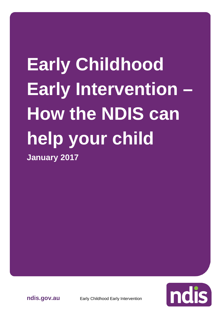# **Early Childhood Early Intervention – How the NDIS can help your child January 2017**



**ndis.gov.au** Early Childhood Early Intervention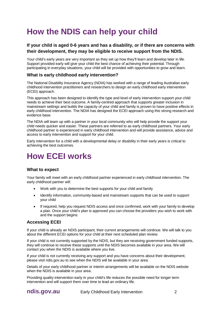# **How the NDIS can help your child**

## **If your child is aged 0-6 years and has a disability, or if there are concerns with their development, they may be eligible to receive support from the NDIS.**

Your child's early years are very important as they set up how they'll learn and develop later in life. Support provided early will give your child the best chance of achieving their potential. Through participating in everyday situations, your child will be provided with opportunities to grow and learn.

#### **What is early childhood early intervention?**

The National Disability Insurance Agency (NDIA) has worked with a range of leading Australian early childhood intervention practitioners and researchers to design an early childhood early intervention (ECEI) approach.

This approach has been designed to identify the type and level of early intervention support your child needs to achieve their best outcome. A family-centred approach that supports greater inclusion in mainstream settings and builds the capacity of your child and family is proven to have positive effects in early childhood intervention. The NDIA has designed the ECEI approach using this strong research and evidence base.

The NDIA will team up with a partner in your local community who will help provide the support your child needs quicker and easier. These partners are referred to as early childhood partners. Your early childhood partner is experienced in early childhood intervention and will provide assistance, advice and access to early intervention and support for your child.

Early intervention for a child with a developmental delay or disability in their early years is critical to achieving the best outcomes.

# **How ECEI works**

#### **What to expect**

Your family will meet with an early childhood partner experienced in early childhood intervention. The early childhood partner will:

- Work with you to determine the best supports for your child and family
- Identify information, community-based and mainstream supports that can be used to support your child
- If required, help you request NDIS access and once confirmed, work with your family to develop a plan. Once your child's plan is approved you can choose the providers you wish to work with and the support begins.

#### **Accessing ECEI**

If your child is already an NDIS participant, their current arrangements will continue. We will talk to you about the different ECEI options for your child at their next scheduled plan review.

If your child is not currently supported by the NDIS, but they are receiving government funded supports, they will continue to receive these supports until the NDIS becomes available in your area. We will contact you when the NDIS is available where you live.

If your child is not currently receiving any support and you have concerns about their development, please visit ndis.gov.au to see when the NDIS will be available in your area.

Details of your early childhood partner or interim arrangements will be available on the NDIS website when the NDIS is available in your area.

Providing quality intervention early in your child's life reduces the possible need for longer term intervention and will support them over time to lead an ordinary life.

**ndis.gov.au** Early Childhood Early Intervention 2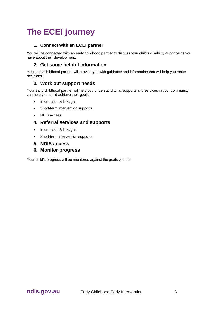# **The ECEI journey**

## **1. Connect with an ECEI partner**

You will be connected with an early childhood partner to discuss your child's disability or concerns you have about their development.

## **2. Get some helpful information**

Your early childhood partner will provide you with guidance and information that will help you make decisions.

# **3. Work out support needs**

Your early childhood partner will help you understand what supports and services in your community can help your child achieve their goals.

- Information & linkages
- Short-term intervention supports
- NDIS access

## **4. Referral services and supports**

- Information & linkages
- Short-term intervention supports

## **5. NDIS access**

**6. Monitor progress** 

Your child's progress will be monitored against the goals you set.